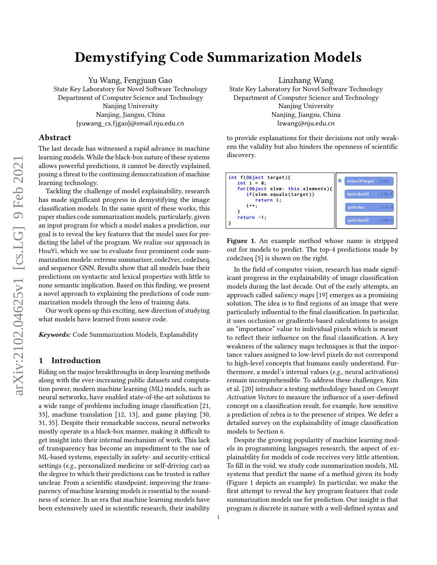# Demystifying Code Summarization Models

Yu Wang, Fengjuan Gao State Key Laboratory for Novel Software Technology Department of Computer Science and Technology Nanjing University Nanjing, Jiangsu, China {yuwang\_cs,fjgao}@smail.nju.edu.cn

## Abstract

The last decade has witnessed a rapid advance in machine learning models. While the black-box nature of these systems allows powerful predictions, it cannot be directly explained, posing a threat to the continuing democratization of machine learning technology.

Tackling the challenge of model explainability, research has made significant progress in demystifying the image classification models. In the same spirit of these works, this paper studies code summarization models, particularly, given an input program for which a model makes a prediction, our goal is to reveal the key features that the model uses for predicting the label of the program. We realize our approach in HouYi, which we use to evaluate four prominent code summarization models: extreme summarizer, code2vec, code2seq, and sequence GNN. Results show that all models base their predictions on syntactic and lexical properties with little to none semantic implication. Based on this finding, we present a novel approach to explaining the predictions of code summarization models through the lens of training data.

Our work opens up this exciting, new direction of studying what models have learned from source code.

Keywords: Code Summarization Models, Explanability

## 1 Introduction

Riding on the major breakthroughs in deep learning methods along with the ever-increasing public datasets and computation power, modern machine learning (ML) models, such as neural networks, have enabled state-of-the-art solutions to a wide range of problems including image classification [\[21,](#page-12-0) [33\]](#page-13-0), machine translation [\[12,](#page-12-1) [13\]](#page-12-2), and game playing [\[30,](#page-12-3) [31,](#page-12-4) [35\]](#page-13-1). Despite their remarkable success, neural networks mostly operate in a black-box manner, making it difficult to get insight into their internal mechanism of work. This lack of transparency has become an impediment to the use of ML-based systems, especially in safety- and security-critical settings (e.g., personalized medicine or self-driving car) as the degree to which their predictions can be trusted is rather unclear. From a scientific standpoint, improving the transparency of machine learning models is essential to the soundness of science. In an era that machine learning models have been extensively used in scientific research, their inability

Linzhang Wang State Key Laboratory for Novel Software Technology Department of Computer Science and Technology Nanjing University Nanjing, Jiangsu, China lzwang@nju.edu.cn

to provide explanations for their decisions not only weakens the validity but also hinders the openness of scientific discovery.

<span id="page-0-0"></span>

Figure 1. An example method whose name is stripped out for models to predict. The top-4 predictions made by code2seq [\[5\]](#page-12-5) is shown on the right.

In the field of computer vision, research has made significant progress in the explainability of image classification models during the last decade. Out of the early attempts, an approach called saliency maps [\[19\]](#page-12-6) emerges as a promising solution. The idea is to find regions of an image that were particularly influential to the final classification. In particular, it uses occlusion or gradients-based calculations to assign an "importance" value to individual pixels which is meant to reflect their influence on the final classification. A key weakness of the saliency maps techniques is that the importance values assigned to low-level pixels do not correspond to high-level concepts that humans easily understand. Furthermore, a model's internal values (e.g., neural activations) remain incomprehensible. To address these challenges, Kim et al. [\[20\]](#page-12-7) introduce a testing methodology based on Concept Activation Vectors to measure the influence of a user-defined concept on a classification result, for example, how sensitive a prediction of zebra is to the presence of stripes. We defer a detailed survey on the explainability of image classification models to Section [6.](#page-11-0)

Despite the growing popularity of machine learning models in programming languages research, the aspect of explainability for models of code receives very little attention. To fill in the void, we study code summarization models, ML systems that predict the name of a method given its body (Figure [1](#page-0-0) depicts an example). In particular, we make the first attempt to reveal the key program features that code summarization models use for prediction. Our insight is that program is discrete in nature with a well-defined syntax and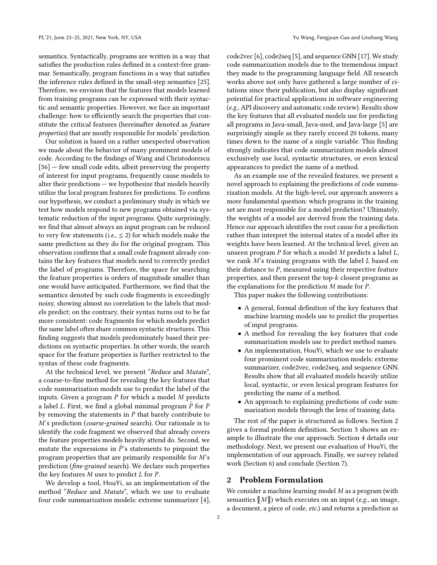semantics. Syntactically, programs are written in a way that satisfies the production rules defined in a context-free grammar. Semantically, program functions in a way that satisfies the inference rules defined in the small-step semantics [\[25\]](#page-12-8). Therefore, we envision that the features that models learned from training programs can be expressed with their syntactic and semantic properties. However, we face an important challenge: how to efficiently search the properties that constitute the critical features (hereinafter denoted as feature properties) that are mostly responsible for models' prediction.

Our solution is based on a rather unexpected observation we made about the behavior of many prominent models of code. According to the findings of Wang and Christodorescu [\[36\]](#page-13-2) – few small code edits, albeit preserving the property of interest for input programs, frequently cause models to alter their predictions — we hypothesize that models heavily utilize the local program features for predictions. To confirm our hypothesis, we conduct a preliminary study in which we test how models respond to new programs obtained via systematic reduction of the input programs. Quite surprisingly, we find that almost always an input program can be reduced to very few statements (*i.e.*,  $\leq$  2) for which models make the same prediction as they do for the original program. This observation confirms that a small code fragment already contains the key features that models need to correctly predict the label of programs. Therefore, the space for searching the feature properties is orders of magnitude smaller than one would have anticipated. Furthermore, we find that the semantics denoted by such code fragments is exceedingly noisy, showing almost no correlation to the labels that models predict; on the contrary, their syntax turns out to be far more consistent: code fragments for which models predict the same label often share common syntactic structures. This finding suggests that models predominately based their predictions on syntactic properties. In other words, the search space for the feature properties is further restricted to the syntax of these code fragments.

At the technical level, we present "Reduce and Mutate", a coarse-to-fine method for revealing the key features that code summarization models use to predict the label of the inputs. Given a program  $P$  for which a model  $M$  predicts a label  $L$ . First, we find a global minimal program  $P$  for  $P$ by removing the statements in  $P$  that barely contribute to M's prediction (coarse-grained search). Our rationale is to identify the code fragment we observed that already covers the feature properties models heavily attend do. Second, we mutate the expressions in  $\tilde{P}$ 's statements to pinpoint the program properties that are primarily responsible for  $M$ 's prediction (fine-grained search). We declare such properties the key features  $M$  uses to predict  $L$  for  $P$ .

We develop a tool, HouYi, as an implementation of the method "Reduce and Mutate", which we use to evaluate four code summarization models: extreme summarizer [\[4\]](#page-12-9),

code2vec [\[6\]](#page-12-10), code2seq [\[5\]](#page-12-5), and sequence GNN [\[17\]](#page-12-11). We study code summarization models due to the tremendous impact they made to the programming language field. All research works above not only have gathered a large number of citations since their publication, but also display significant potential for practical applications in software engineering (e.g., API discovery and automatic code review). Results show the key features that all evaluated models use for predicting all programs in Java-small, Java-med, and Java-large [\[5\]](#page-12-5) are surprisingly simple as they rarely exceed 20 tokens, many times down to the name of a single variable. This finding strongly indicates that code summarization models almost exclusively use local, syntactic structures, or even lexical appearances to predict the name of a method.

As an example use of the revealed features, we present a novel approach to explaining the predictions of code summarization models. At the high-level, our approach answers a more fundamental question: which programs in the training set are most responsible for a model prediction? Ultimately, the weights of a model are derived from the training data. Hence our approach identifies the root cause for a prediction rather than interpret the internal states of a model after its weights have been learned. At the technical level, given an unseen program  $P$  for which a model  $M$  predicts a label  $L$ , we rank  $M$ 's training programs with the label  $L$  based on their distance to  $P$ , measured using their respective feature properties, and then present the top- $k$  closest programs as the explanations for the prediction  $M$  made for  $P$ .

This paper makes the following contributions:

- A general, formal definition of the key features that machine learning models use to predict the properties of input programs.
- A method for revealing the key features that code summarization models use to predict method names.
- An implementation, HouYi, which we use to evaluate four prominent code summarization models: extreme summarizer, code2vec, code2seq, and sequence GNN. Results show that all evaluated models heavily utilize local, syntactic, or even lexical program features for predicting the name of a method.
- An approach to explaining predictions of code summarization models through the lens of training data.

The rest of the paper is structured as follows. Section [2](#page-1-0) gives a formal problem definition. Section [3](#page-2-0) shows an example to illustrate the our approach. Section [4](#page-4-0) details our methodology. Next, we present our evaluation of HouYi, the implementation of our approach. Finally, we survey related work (Section [6\)](#page-11-0) and conclude (Section [7\)](#page-11-1).

## <span id="page-1-0"></span>2 Problem Formulation

We consider a machine learning model  $M$  as a program (with semantics  $\llbracket M \rrbracket$ ) which executes on an input (e.g., an image, a document, a piece of code, etc.) and returns a prediction as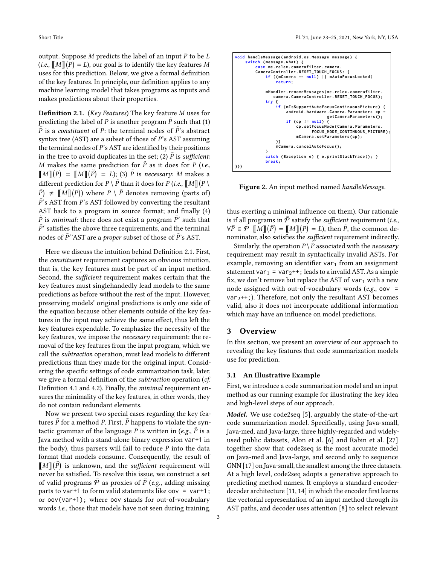output. Suppose  $M$  predicts the label of an input  $P$  to be  $L$ (*i.e.*,  $\llbracket M \rrbracket (\bar{P}) = L$ ), our goal is to identify the key features M uses for this prediction. Below, we give a formal definition of the key features. In principle, our definition applies to any machine learning model that takes programs as inputs and makes predictions about their properties.

<span id="page-2-1"></span>**Definition 2.1.** (Key Features) The key feature  $M$  uses for predicting the label of P is another program  $\tilde{P}$  such that (1)  $\tilde{P}$  is a constituent of P: the terminal nodes of  $\tilde{P}'$ 's abstract syntax tree (AST) are a subset of those of  $P$ 's AST assuming the terminal nodes of  $P$ 's AST are identified by their positions in the tree to avoid duplicates in the set; (2)  $\tilde{P}$  is sufficient: M makes the same prediction for  $\tilde{P}$  as it does for P (i.e.,  $\llbracket M \rrbracket (P) = \llbracket M \rrbracket (\tilde{P}) = L$ ); (3)  $\tilde{P}$  is necessary: M makes a different prediction for  $P \setminus \tilde{P}$  than it does for  $P$  (*i.e.*,  $\llbracket M \rrbracket (P \setminus P)$  $\tilde{P}$ )  $\neq$  [M][ $(P)$ ) where  $P \setminus \tilde{P}$  denotes removing (parts of)  $\tilde{P}$ 's AST from P's AST followed by converting the resultant AST back to a program in source format; and finally (4)  $\tilde{P}$  is *minimal*: there does not exist a program  $\tilde{P}'$  such that  $\tilde{P}'$  satisfies the above three requirements, and the terminal nodes of  $\tilde{P}$ ''AST are a *proper* subset of those of  $\tilde{P}$ 's AST.

Here we discuss the intuition behind Definition [2.1.](#page-2-1) First, the constituent requirement captures an obvious intuition, that is, the key features must be part of an input method. Second, the sufficient requirement makes certain that the key features must singlehandedly lead models to the same predictions as before without the rest of the input. However, preserving models' original predictions is only one side of the equation because other elements outside of the key features in the input may achieve the same effect, thus left the key features expendable. To emphasize the necessity of the key features, we impose the necessary requirement: the removal of the key features from the input program, which we call the subtraction operation, must lead models to different predictions than they made for the original input. Considering the specific settings of code summarization task, later, we give a formal definition of the subtraction operation (cf. Definition [4.1](#page-6-0) and [4.2\)](#page-7-0). Finally, the minimal requirement ensures the minimality of the key features, in other words, they do not contain redundant elements.

Now we present two special cases regarding the key features  $\tilde{P}$  for a method P. First,  $\tilde{P}$  happens to violate the syntactic grammar of the language P is written in (e.g.,  $\tilde{P}$  is a Java method with a stand-alone binary expression var+1 in the body), thus parsers will fail to reduce  $P$  into the data format that models consume. Consequently, the result of  $\llbracket M \rrbracket(\tilde{P})$  is unknown, and the *sufficient* requirement will never be satisfied. To resolve this issue, we construct a set of valid programs  $\overline{P}$  as proxies of  $\overline{P}$  (e.g., adding missing parts to var+1 to form valid statements like oov = var+1; or oov(var+1); where oov stands for out-of-vocabulary words i.e., those that models have not seen during training,

<span id="page-2-2"></span>**void handleMessage ( android . os . Message message ) { switch ( message . what ) { case me . relex . camerafilter . camera . CameraController . RESET\_TOUCH\_FOCUS : { if (( mCamera == null ) || mAutoFocusLocked ) return ; mHandler . removeMessages ( me . relex . camerafilter . camera . CameraController . RESET\_TOUCH\_FOCUS ); try { if ( mIsSupportAutoFocusContinuousPicture ) { android . hardware . Camera . Parameters cp = getCameraParameters (); if ( cp != null ) { cp . setFocusMode ( Camera . Parameters . FOCUS\_MODE\_CONTINUOUS\_PICTURE ); mCamera . setParameters ( cp ); }} mCamera . cancelAutoFocus (); } catch ( Exception e ) { e . printStackTrace (); } break ; }}}**

Figure 2. An input method named handleMessage.

thus exerting a minimal influence on them). Our rationale is if all programs in  $\overline{P}$  satisfy the *sufficient* requirement (*i.e.*,  $\forall \bar{P} \in \bar{\mathcal{P}} \; [\![M]\!](\bar{P}) = [\![M]\!](P) = L$ ), then  $\tilde{P}$ , the common denominator, also satisfies the sufficient requirement indirectly.

Similarly, the operation  $P \setminus \overline{P}$  associated with the *necessary* requirement may result in syntactically invalid ASTs. For example, removing an identifier var $_1$  from an assignment statement var<sub>1</sub> = var<sub>2</sub>++; leads to a invalid AST. As a simple fix, we don't remove but replace the AST of var<sub>1</sub> with a new node assigned with out-of-vocabulary words ( $e.g.,$  oov =  $var_2++$ ;). Therefore, not only the resultant AST becomes valid, also it does not incorporate additional information which may have an influence on model predictions.

## <span id="page-2-0"></span>3 Overview

In this section, we present an overview of our approach to revealing the key features that code summarization models use for prediction.

#### 3.1 An Illustrative Example

First, we introduce a code summarization model and an input method as our running example for illustrating the key idea and high-level steps of our approach.

Model. We use code2seq [\[5\]](#page-12-5), arguably the state-of-the-art code summarization model. Specifically, using Java-small, Java-med, and Java-large, three highly-regarded and widelyused public datasets, Alon et al. [\[6\]](#page-12-10) and Rabin et al. [\[27\]](#page-12-12) together show that code2seq is the most accurate model on Java-med and Java-large, and second only to sequence GNN [\[17\]](#page-12-11) on Java-small, the smallest among the three datasets. At a high level, code2seq adopts a generative approach to predicting method names. It employs a standard encoderdecoder architecture [\[11,](#page-12-13) [14\]](#page-12-14) in which the encoder first learns the vectorial representation of an input method through its AST paths, and decoder uses attention [\[8\]](#page-12-15) to select relevant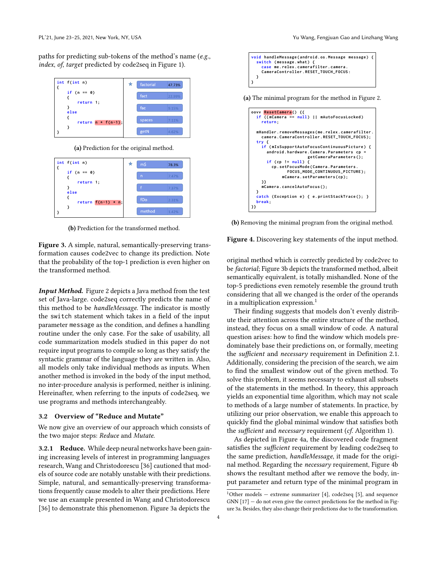paths for predicting sub-tokens of the method's name (e.g., index, of, target predicted by code2seq in Figure [1\)](#page-0-0).

<span id="page-3-0"></span>





(b) Prediction for the transformed method.

Figure 3. A simple, natural, semantically-preserving transformation causes code2vec to change its prediction. Note that the probability of the top-1 prediction is even higher on the transformed method.

Input Method. Figure [2](#page-2-2) depicts a Java method from the test set of Java-large. code2seq correctly predicts the name of this method to be handleMessage. The indicator is mostly the switch statement which takes in a field of the input parameter message as the condition, and defines a handling routine under the only case. For the sake of usability, all code summarization models studied in this paper do not require input programs to compile so long as they satisfy the syntactic grammar of the language they are written in. Also, all models only take individual methods as inputs. When another method is invoked in the body of the input method, no inter-procedure analysis is performed, neither is inlining. Hereinafter, when referring to the inputs of code2seq, we use programs and methods interchangeably.

#### 3.2 Overview of "Reduce and Mutate"

We now give an overview of our approach which consists of the two major steps: Reduce and Mutate.

3.2.1 Reduce. While deep neural networks have been gaining increasing levels of interest in programming languages research, Wang and Christodorescu [\[36\]](#page-13-2) cautioned that models of source code are notably unstable with their predictions. Simple, natural, and semantically-preserving transformations frequently cause models to alter their predictions. Here we use an example presented in Wang and Christodorescu [\[36\]](#page-13-2) to demonstrate this phenomenon. Figure [3a](#page-3-0) depicts the

<span id="page-3-2"></span>

(a) The minimal program for the method in Figure [2.](#page-2-2)

| oovy ResetCamera() {{<br>if ((mCamera == null)    mAutoFocusLocked)<br>return.                                                                                                                                   |
|------------------------------------------------------------------------------------------------------------------------------------------------------------------------------------------------------------------|
| mHandler.removeMessages(me.relex.camerafilter.<br>camera.CameraController.RESET_TOUCH_FOCUS);<br>try {                                                                                                           |
| if (mIsSupportAutoFocusContinuousPicture) {<br>android.hardware.Camera.Parameters cp =<br>getCameraParameters();<br>if (cp != $null)$ {<br>cp.setFocusMode(Camera.Parameters.<br>FOCUS_MODE_CONTINUOUS_PICTURE); |
| mCamera.setParameters(cp);<br>}}<br>mCamera.cancelAutoFocus();<br>٦.<br>catch (Exception e) { e.printStackTrace(); }<br>break;                                                                                   |

(b) Removing the minimal program from the original method.

#### Figure 4. Discovering key statements of the input method.

original method which is correctly predicted by code2vec to be factorial; Figure [3b](#page-3-0) depicts the transformed method, albeit semantically equivalent, is totally mishandled. None of the top-5 predictions even remotely resemble the ground truth considering that all we changed is the order of the operands in a multiplication expression.<sup>[1](#page-3-1)</sup>

Their finding suggests that models don't evenly distribute their attention across the entire structure of the method, instead, they focus on a small window of code. A natural question arises: how to find the window which models predominately base their predictions on, or formally, meeting the sufficient and necessary requirement in Definition [2.1.](#page-2-1) Additionally, considering the precision of the search, we aim to find the smallest window out of the given method. To solve this problem, it seems necessary to exhaust all subsets of the statements in the method. In theory, this approach yields an exponential time algorithm, which may not scale to methods of a large number of statements. In practice, by utilizing our prior observation, we enable this approach to quickly find the global minimal window that satisfies both the *sufficient* and *necessary* requirement (cf. Algorithm [1\)](#page-5-0).

As depicted in Figure [4a,](#page-3-2) the discovered code fragment satisfies the sufficient requirement by leading code2seq to the same prediction, handleMessage, it made for the original method. Regarding the necessary requirement, Figure [4b](#page-3-2) shows the resultant method after we remove the body, input parameter and return type of the minimal program in

<span id="page-3-1"></span> $1$ Other models  $-$  extreme summarizer [\[4\]](#page-12-9), code2seq [\[5\]](#page-12-5), and sequence GNN [\[17\]](#page-12-11) — do not even give the correct predictions for the method in Figure [3a.](#page-3-0) Besides, they also change their predictions due to the transformation.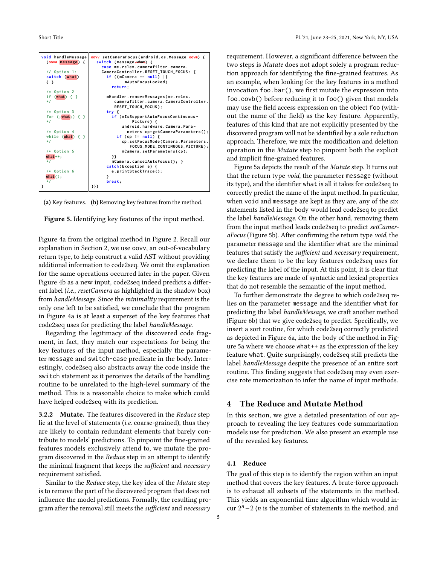<span id="page-4-1"></span>

(a) Key features. (b) Removing key features from the method.



Figure [4a](#page-3-2) from the original method in Figure [2.](#page-2-2) Recall our explanation in Section [2,](#page-1-0) we use oovv, an out-of-vocabulary return type, to help construct a valid AST without providing additional information to code2seq. We omit the explanation for the same operations occurred later in the paper. Given Figure [4b](#page-3-2) as a new input, code2seq indeed predicts a different label (i.e., resetCamera as highlighted in the shadow box) from handleMessage. Since the minimality requirement is the only one left to be satisfied, we conclude that the program in Figure [4a](#page-3-2) is at least a superset of the key features that code2seq uses for predicting the label handleMessage.

Regarding the legitimacy of the discovered code fragment, in fact, they match our expectations for being the key features of the input method, especially the parameter message and switch-case predicate in the body. Interestingly, code2seq also abstracts away the code inside the switch statement as it perceives the details of the handling routine to be unrelated to the high-level summary of the method. This is a reasonable choice to make which could have helped code2seq with its prediction.

**3.2.2** Mutate. The features discovered in the Reduce step lie at the level of statements (i.e. coarse-grained), thus they are likely to contain redundant elements that barely contribute to models' predictions. To pinpoint the fine-grained features models exclusively attend to, we mutate the program discovered in the Reduce step in an attempt to identify the minimal fragment that keeps the sufficient and necessary requirement satisfied.

Similar to the Reduce step, the key idea of the Mutate step is to remove the part of the discovered program that does not influence the model predictions. Formally, the resulting program after the removal still meets the sufficient and necessary

5

requirement. However, a significant difference between the two steps is Mutate does not adopt solely a program reduction approach for identifying the fine-grained features. As an example, when looking for the key features in a method invocation foo.bar(), we first mutate the expression into foo.oovb() before reducing it to foo() given that models may use the field access expression on the object foo (without the name of the field) as the key feature. Apparently, features of this kind that are not explicitly presented by the discovered program will not be identified by a sole reduction approach. Therefore, we mix the modification and deletion operation in the Mutate step to pinpoint both the explicit and implicit fine-grained features.

Figure [5a](#page-4-1) depicts the result of the Mutate step. It turns out that the return type void, the parameter message (without its type), and the identifier what is all it takes for code2seq to correctly predict the name of the input method. In particular, when void and message are kept as they are, any of the six statements listed in the body would lead code2seq to predict the label handleMessage. On the other hand, removing them from the input method leads code2seq to predict setCameraFocus (Figure [5b\)](#page-4-1). After confirming the return type void, the parameter message and the identifier what are the minimal features that satisfy the sufficient and necessary requirement, we declare them to be the key features code2seq uses for predicting the label of the input. At this point, it is clear that the key features are made of syntactic and lexical properties that do not resemble the semantic of the input method.

To further demonstrate the degree to which code2seq relies on the parameter message and the identifier what for predicting the label handleMessage, we craft another method (Figure [6b\)](#page-5-1) that we give code2seq to predict. Specifically, we insert a sort routine, for which code2seq correctly predicted as depicted in Figure [6a,](#page-5-1) into the body of the method in Figure [5a](#page-4-1) where we choose what++ as the expression of the key feature what. Quite surprisingly, code2seq still predicts the label handleMessage despite the presence of an entire sort routine. This finding suggests that code2seq may even exercise rote memorization to infer the name of input methods.

## <span id="page-4-0"></span>4 The Reduce and Mutate Method

In this section, we give a detailed presentation of our approach to revealing the key features code summarization models use for prediction. We also present an example use of the revealed key features.

### 4.1 Reduce

The goal of this step is to identify the region within an input method that covers the key features. A brute-force approach is to exhaust all subsets of the statements in the method. This yields an exponential time algorithm which would incur  $2^n - 2$  (*n* is the number of statements in the method, and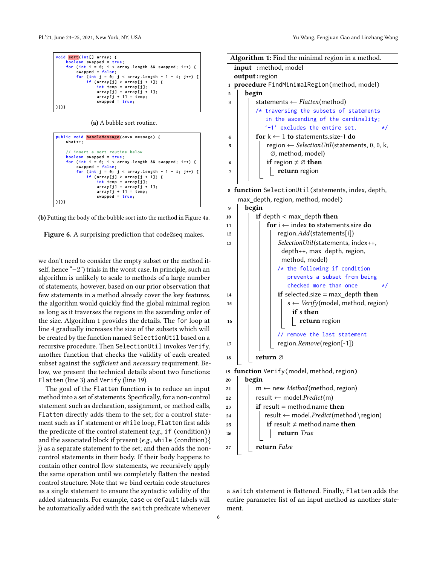```
void sort (int [] array ) {
       boolean swapped = true ;
    for (int i = 0; i < array.length 8&amp; swapped; i++)swapped = false ;
         for (int j = 0; j < array.length - 1 - i; j++)if ( array [ j ] > array [ j + 1]) {
                  int temp = array [ j ];
                  array [ j ] = array [ j + 1];
                   array [ j + 1] = temp ;
swapped = true ;
}}}}
```
(a) A bubble sort routine.

```
public void handleMessage ( oova message ) {
       what ++;
        // insert a sort routine below
       boolean swapped = true ;
for (int i = 0; i < array . length && swapped ; i ++) {
              swapped = false ;
              \frac{1}{\pi} \int_0^{\pi} \frac{1}{\pi} \, dx = 0; \int_0^{\pi} \frac{1}{\pi} \, dx = 1 - i; \int_0^{\pi} \frac{1}{\pi} \, dx = 1 - iif ( array [ j ] > array [ j + 1]) {
int temp = array [ j ];
                          array [ j ] = array [ j + 1];
                            array [ j + 1] = temp ;
swapped = true ;
}}}}
```
(b) Putting the body of the bubble sort into the method in Figure [4a.](#page-3-2)

Figure 6. A surprising prediction that code2seq makes.

we don't need to consider the empty subset or the method itself, hence "−2") trials in the worst case. In principle, such an algorithm is unlikely to scale to methods of a large number of statements, however, based on our prior observation that few statements in a method already cover the key features, the algorithm would quickly find the global minimal region as long as it traverses the regions in the ascending order of the size. Algorithm [1](#page-5-0) provides the details. The for loop at line [4](#page-5-2) gradually increases the size of the subsets which will be created by the function named SelectionUtil based on a recursive procedure. Then SelectionUtil invokes Verify, another function that checks the validity of each created subset against the *sufficient* and *necessary* requirement. Below, we present the technical details about two functions: Flatten (line [3\)](#page-5-3) and Verify (line [19\)](#page-5-4).

The goal of the Flatten function is to reduce an input method into a set of statements. Specifically, for a non-control statement such as declaration, assignment, or method calls, Flatten directly adds them to the set; for a control statement such as if statement or while loop, Flatten first adds the predicate of the control statement (e.g., if (condition)) and the associated block if present (e.g., while (condition){ }) as a separate statement to the set; and then adds the noncontrol statements in their body. If their body happens to contain other control flow statements, we recursively apply the same operation until we completely flatten the nested control structure. Note that we bind certain code structures as a single statement to ensure the syntactic validity of the added statements. For example, case or default labels will be automatically added with the switch predicate whenever

<span id="page-5-3"></span><span id="page-5-2"></span>

|                         | Algorithm 1: Find the minimal region in a method.                        |  |  |  |  |  |  |  |  |  |
|-------------------------|--------------------------------------------------------------------------|--|--|--|--|--|--|--|--|--|
|                         | input : method, model                                                    |  |  |  |  |  |  |  |  |  |
|                         | output: region                                                           |  |  |  |  |  |  |  |  |  |
| 1                       | procedure FindMinimalRegion(method, model)                               |  |  |  |  |  |  |  |  |  |
| $\overline{2}$          | begin                                                                    |  |  |  |  |  |  |  |  |  |
| 3                       | statements $\leftarrow$ Flatten(method)                                  |  |  |  |  |  |  |  |  |  |
|                         | /* traversing the subsets of statements                                  |  |  |  |  |  |  |  |  |  |
|                         | in the ascending of the cardinality;                                     |  |  |  |  |  |  |  |  |  |
|                         | '-1' excludes the entire set.<br>*/                                      |  |  |  |  |  |  |  |  |  |
| $\overline{\mathbf{4}}$ | for $k \leftarrow 1$ to statements size-1 do                             |  |  |  |  |  |  |  |  |  |
| 5                       | region $\leftarrow$ SelectionUtil(statements, 0, 0, k,                   |  |  |  |  |  |  |  |  |  |
|                         | Ø, method, model)                                                        |  |  |  |  |  |  |  |  |  |
| 6                       | <b>if</b> region $\neq \emptyset$ then                                   |  |  |  |  |  |  |  |  |  |
| 7                       | return region                                                            |  |  |  |  |  |  |  |  |  |
|                         |                                                                          |  |  |  |  |  |  |  |  |  |
|                         |                                                                          |  |  |  |  |  |  |  |  |  |
|                         | 8 function SelectionUtil(statements, index, depth,                       |  |  |  |  |  |  |  |  |  |
|                         | max_depth, region, method, model)                                        |  |  |  |  |  |  |  |  |  |
| 9                       | begin                                                                    |  |  |  |  |  |  |  |  |  |
| 10                      | if depth $<$ max depth then                                              |  |  |  |  |  |  |  |  |  |
| 11                      | for $i \leftarrow$ index to statements.size do                           |  |  |  |  |  |  |  |  |  |
| 12                      | region.Add(statements[i])                                                |  |  |  |  |  |  |  |  |  |
| 13                      | SelectionUtil(statements, index++,                                       |  |  |  |  |  |  |  |  |  |
|                         | depth++, max_depth, region,                                              |  |  |  |  |  |  |  |  |  |
|                         | method, model)                                                           |  |  |  |  |  |  |  |  |  |
|                         | /* the following if condition                                            |  |  |  |  |  |  |  |  |  |
|                         | prevents a subset from being                                             |  |  |  |  |  |  |  |  |  |
|                         | checked more than once<br>$\star/$                                       |  |  |  |  |  |  |  |  |  |
| 14                      | if selected.size = $max$ depth then                                      |  |  |  |  |  |  |  |  |  |
| 15                      | $s \leftarrow \text{Verify}(\text{model}, \text{method}, \text{region})$ |  |  |  |  |  |  |  |  |  |
|                         | if s then                                                                |  |  |  |  |  |  |  |  |  |
| 16                      | return region                                                            |  |  |  |  |  |  |  |  |  |
|                         |                                                                          |  |  |  |  |  |  |  |  |  |
|                         | // remove the last statement                                             |  |  |  |  |  |  |  |  |  |
| 17                      | region.Remove(region[-1])                                                |  |  |  |  |  |  |  |  |  |
| 18                      | return ⊘                                                                 |  |  |  |  |  |  |  |  |  |
|                         |                                                                          |  |  |  |  |  |  |  |  |  |
|                         | 19 function Verify (model, method, region)                               |  |  |  |  |  |  |  |  |  |
| 20                      | begin                                                                    |  |  |  |  |  |  |  |  |  |
| 21                      | $m \leftarrow$ new <i>Method</i> (method, region)                        |  |  |  |  |  |  |  |  |  |
| 22                      | $result \leftarrow model.Predict(m)$                                     |  |  |  |  |  |  |  |  |  |
| 23                      | <b>if</b> result = method.name <b>then</b>                               |  |  |  |  |  |  |  |  |  |
| 24                      | result ← model.Predict(method\region)                                    |  |  |  |  |  |  |  |  |  |
| 25                      | if result $\neq$ method.name then                                        |  |  |  |  |  |  |  |  |  |
| 26                      | return True                                                              |  |  |  |  |  |  |  |  |  |
|                         |                                                                          |  |  |  |  |  |  |  |  |  |
| 27                      | return False                                                             |  |  |  |  |  |  |  |  |  |
|                         |                                                                          |  |  |  |  |  |  |  |  |  |

<span id="page-5-6"></span><span id="page-5-5"></span><span id="page-5-4"></span><span id="page-5-0"></span>a switch statement is flattened. Finally, Flatten adds the entire parameter list of an input method as another statement.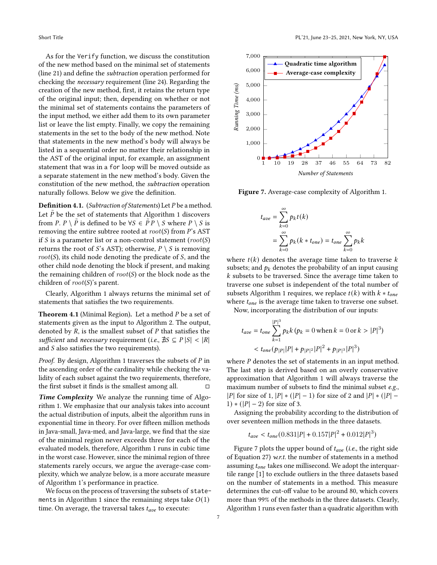As for the Verify function, we discuss the constitution of the new method based on the minimal set of statements (line [21\)](#page-5-5) and define the subtraction operation performed for checking the necessary requirement (line [24\)](#page-5-6). Regarding the creation of the new method, first, it retains the return type of the original input; then, depending on whether or not the minimal set of statements contains the parameters of the input method, we either add them to its own parameter list or leave the list empty. Finally, we copy the remaining statements in the set to the body of the new method. Note that statements in the new method's body will always be listed in a sequential order no matter their relationship in the AST of the original input, for example, an assignment statement that was in a for loop will be moved outside as a separate statement in the new method's body. Given the constitution of the new method, the subtraction operation naturally follows. Below we give the definition.

<span id="page-6-0"></span>**Definition 4.1.** (Subtraction of Statements) Let  $P$  be a method. Let  $\tilde{P}$  be the set of statements that Algorithm [1](#page-5-0) discovers from P. P \  $\tilde{P}$  is defined to be  $\forall S \in \tilde{P}P \setminus S$  where  $P \setminus S$  is removing the entire subtree rooted at  $root(S)$  from P's AST if S is a parameter list or a non-control statement ( $root(S)$ ) returns the root of S's AST); otherwise,  $P \setminus S$  is removing  $root(S)$ , its child node denoting the predicate of S, and the other child node denoting the block if present, and making the remaining children of  $root(S)$  or the block node as the children of  $root(S)$ 's parent.

Clearly, Algorithm [1](#page-5-0) always returns the minimal set of statements that satisfies the two requirements.

<span id="page-6-2"></span>**Theorem 4.1** (Minimal Region). Let a method  $P$  be a set of statements given as the input to Algorithm [2.](#page-7-1) The output, denoted by  $R$ , is the smallest subset of  $P$  that satisfies the sufficient and necessary requirement (i.e.,  $\sharp S \subseteq P |S| < |R|$ and  $S$  also satisfies the two requirements).

*Proof.* By design, Algorithm [1](#page-5-0) traverses the subsets of  $P$  in the ascending order of the cardinality while checking the validity of each subset against the two requirements, therefore, the first subset it finds is the smallest among all.  $□$ 

Time Complexity We analyze the running time of Algorithm [1.](#page-5-0) We emphasize that our analysis takes into account the actual distribution of inputs, albeit the algorithm runs in exponential time in theory. For over fifteen million methods in Java-small, Java-med, and Java-large, we find that the size of the minimal region never exceeds three for each of the evaluated models, therefore, Algorithm [1](#page-5-0) runs in cubic time in the worst case. However, since the minimal region of three statements rarely occurs, we argue the average-case complexity, which we analyze below, is a more accurate measure of Algorithm [1'](#page-5-0)s performance in practice.

We focus on the process of traversing the subsets of state-ments in Algorithm [1](#page-5-0) since the remaining steps take  $O(1)$ time. On average, the traversal takes  $t_{ave}$  to execute:

<span id="page-6-1"></span>

Figure 7. Average-case complexity of Algorithm [1.](#page-5-0)

$$
t_{ave} = \sum_{k=0}^{\infty} p_k t(k)
$$
  
= 
$$
\sum_{k=0}^{\infty} p_k (k * t_{one}) = t_{one} \sum_{k=0}^{\infty} p_k k
$$

where  $t(k)$  denotes the average time taken to traverse k subsets; and  $p_k$  denotes the probability of an input causing  $k$  subsets to be traversed. Since the average time taken to traverse one subset is independent of the total number of subsets Algorithm [1](#page-5-0) requires, we replace  $t(k)$  with  $k * t_{one}$ where  $t_{one}$  is the average time taken to traverse one subset.

Now, incorporating the distribution of our inputs:

$$
t_{ave} = t_{one} \sum_{k=1}^{|P|^3} p_k k (p_k = 0 \text{ when } k = 0 \text{ or } k > |P|^3)
$$
  

$$
< t_{one}(p_{|P|} |P| + p_{|P|^2} |P|^2 + p_{|P|^3} |P|^3)
$$

where  $P$  denotes the set of statements in an input method. The last step is derived based on an overly conservative approximation that Algorithm [1](#page-5-0) will always traverse the maximum number of subsets to find the minimal subset e.g., |  $|P|$  for size of 1,  $|P| * (|P| - 1)$  for size of 2 and  $|P| * (|P| - 1)$ 1)  $*(|P|-2)$  for size of 3.

Assigning the probability according to the distribution of over seventeen million methods in the three datasets.

$$
t_{ave} < t_{one}(0.831|P| + 0.157|P|^2 + 0.012|P|^3)
$$

Figure [7](#page-6-1) plots the upper bound of  $t_{ave}$  (i.e., the right side of Equation [27\)](#page-6-2) w.r.t. the number of statements in a method assuming  $t_{one}$  takes one millisecond. We adopt the interquartile range [\[1\]](#page-12-16) to exclude outliers in the three datasets based on the number of statements in a method. This measure determines the cut-off value to be around 80, which covers more than 99% of the methods in the three datasets. Clearly, Algorithm [1](#page-5-0) runs even faster than a quadratic algorithm with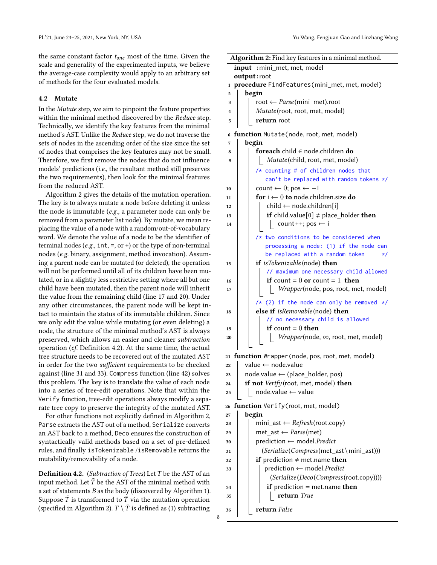the same constant factor  $t_{one}$  most of the time. Given the scale and generality of the experimented inputs, we believe the average-case complexity would apply to an arbitrary set of methods for the four evaluated models.

#### 4.2 Mutate

In the Mutate step, we aim to pinpoint the feature properties within the minimal method discovered by the Reduce step. Technically, we identify the key features from the minimal method's AST. Unlike the Reduce step, we do not traverse the sets of nodes in the ascending order of the size since the set of nodes that comprises the key features may not be small. Therefore, we first remove the nodes that do not influence models' predictions (i.e., the resultant method still preserves the two requirements), then look for the minimal features from the reduced AST.

Algorithm [2](#page-7-1) gives the details of the mutation operation. The key is to always mutate a node before deleting it unless the node is immutable (e.g., a parameter node can only be removed from a parameter list node). By mutate, we mean replacing the value of a node with a random/out-of-vocabulary word. We denote the value of a node to be the identifier of terminal nodes (e.g.,  $int, =$ , or +) or the type of non-terminal nodes (e.g. binary, assignment, method invocation). Assuming a parent node can be mutated (or deleted), the operation will not be performed until all of its children have been mutated, or in a slightly less restrictive setting where all but one child have been mutated, then the parent node will inherit the value from the remaining child (line [17](#page-7-2) and [20\)](#page-7-3). Under any other circumstances, the parent node will be kept intact to maintain the status of its immutable children. Since we only edit the value while mutating (or even deleting) a node, the structure of the minimal method's AST is always preserved, which allows an easier and cleaner subtraction operation (cf. Definition [4.2\)](#page-7-0). At the same time, the actual tree structure needs to be recovered out of the mutated AST in order for the two sufficient requirements to be checked against (line [31](#page-7-4) and [33\)](#page-7-5). Compress function (line [42\)](#page-8-0) solves this problem. The key is to translate the value of each node into a series of tree-edit operations. Note that within the Verify function, tree-edit operations always modify a separate tree copy to preserve the integrity of the mutated AST.

For other functions not explicitly defined in Algorithm [2,](#page-7-1) Parse extracts the AST out of a method, Serialize converts an AST back to a method, Deco ensures the construction of syntactically valid methods based on a set of pre-defined rules, and finally isTokenizable /isRemovable returns the mutability/removability of a node.

<span id="page-7-0"></span>**Definition 4.2.** (Subtraction of Trees) Let  $T$  be the AST of an input method. Let  $\tilde{T}$  be the AST of the minimal method with a set of statements  $B$  as the body (discovered by Algorithm [1\)](#page-5-0). Suppose  $\tilde{T}$  is transformed to  $\overline{T}$  via the mutation operation (specified in Algorithm [2\)](#page-7-1).  $T \setminus \overline{T}$  is defined as (1) subtracting

<span id="page-7-2"></span>

|                         | Algorithm 2: Find key features in a minimal method. |                                                                         |  |  |  |  |  |  |
|-------------------------|-----------------------------------------------------|-------------------------------------------------------------------------|--|--|--|--|--|--|
|                         | input : mini_met, met, model                        |                                                                         |  |  |  |  |  |  |
|                         | output:root                                         |                                                                         |  |  |  |  |  |  |
| 1                       |                                                     | procedure FindFeatures(mini_met, met, model)                            |  |  |  |  |  |  |
| $\overline{2}$          |                                                     | begin                                                                   |  |  |  |  |  |  |
| 3                       |                                                     | root ← Parse(mini_met).root                                             |  |  |  |  |  |  |
| $\overline{\mathbf{4}}$ |                                                     | Mutate(root, root, met, model)                                          |  |  |  |  |  |  |
| 5                       |                                                     | return root                                                             |  |  |  |  |  |  |
| 6                       |                                                     | function Mutate(node, root, met, model)                                 |  |  |  |  |  |  |
| 7                       |                                                     | begin                                                                   |  |  |  |  |  |  |
| 8                       |                                                     | foreach child ∈ node.children do                                        |  |  |  |  |  |  |
| 9                       |                                                     | Mutate(child, root, met, model)                                         |  |  |  |  |  |  |
|                         |                                                     | /* counting # of children nodes that                                    |  |  |  |  |  |  |
|                         |                                                     | can't be replaced with random tokens */                                 |  |  |  |  |  |  |
| 10                      |                                                     | count $\leftarrow 0$ ; pos $\leftarrow -1$                              |  |  |  |  |  |  |
| 11                      |                                                     | for $i \leftarrow 0$ to node.children.size do                           |  |  |  |  |  |  |
| 12                      |                                                     | child ← node.children[i]                                                |  |  |  |  |  |  |
| 13                      |                                                     | if child.value[0] $\neq$ place_holder then                              |  |  |  |  |  |  |
| 14                      |                                                     | count ++; pos $\leftarrow$ i                                            |  |  |  |  |  |  |
|                         |                                                     |                                                                         |  |  |  |  |  |  |
|                         |                                                     | $/*$ two conditions to be considered when                               |  |  |  |  |  |  |
|                         |                                                     | processing a node: (1) if the node can                                  |  |  |  |  |  |  |
|                         |                                                     | be replaced with a random token<br>*/                                   |  |  |  |  |  |  |
| 15                      |                                                     | <b>if</b> isTokenizable(node) <b>then</b>                               |  |  |  |  |  |  |
|                         |                                                     | // maximum one necessary child allowed                                  |  |  |  |  |  |  |
| 16                      |                                                     | <b>if</b> count = 0 <b>or</b> count = 1 <b>then</b>                     |  |  |  |  |  |  |
| 17                      |                                                     | Wrapper(node, pos, root, met, model)                                    |  |  |  |  |  |  |
|                         |                                                     | $/*$ (2) if the node can only be removed $*/$                           |  |  |  |  |  |  |
| 18                      |                                                     | else if <i>isRemovable</i> (node) then                                  |  |  |  |  |  |  |
|                         |                                                     | // no necessary child is allowed                                        |  |  |  |  |  |  |
| 19                      |                                                     | if count $= 0$ then                                                     |  |  |  |  |  |  |
| 20                      |                                                     | Wrapper(node, ∞, root, met, model)                                      |  |  |  |  |  |  |
|                         |                                                     |                                                                         |  |  |  |  |  |  |
|                         |                                                     | 21 function Wrapper (node, pos, root, met, model)<br>value ← node.value |  |  |  |  |  |  |
| 22                      |                                                     |                                                                         |  |  |  |  |  |  |
| 23                      |                                                     | $node.value \leftarrow (place_{holder, pos})$                           |  |  |  |  |  |  |
| 24                      |                                                     | if not $Verify(root, met, model)$ then<br>node.value ← value            |  |  |  |  |  |  |
| 25                      |                                                     |                                                                         |  |  |  |  |  |  |
| 26                      |                                                     | function Verify (root, met, model)                                      |  |  |  |  |  |  |
| 27                      |                                                     | begin                                                                   |  |  |  |  |  |  |
| 28                      |                                                     | mini_ast $\leftarrow$ <i>Refresh</i> (root.copy)                        |  |  |  |  |  |  |
| 29                      |                                                     | $met\_ast \leftarrow Parse(met)$                                        |  |  |  |  |  |  |
| 30                      |                                                     | prediction ← model.Predict                                              |  |  |  |  |  |  |
| 31                      |                                                     | (Serialize(Compress(met_ast\mini_ast)))                                 |  |  |  |  |  |  |
| 32                      |                                                     | if prediction $\neq$ met.name then                                      |  |  |  |  |  |  |
| 33                      |                                                     | $prediction \leftarrow model.Predict$                                   |  |  |  |  |  |  |
|                         |                                                     | (Serialize(Deco(Compress(root.copy))))                                  |  |  |  |  |  |  |
| 34                      |                                                     | <b>if</b> prediction = met.name <b>then</b>                             |  |  |  |  |  |  |
| 35                      |                                                     | return True                                                             |  |  |  |  |  |  |
| 36                      |                                                     | <b>return</b> False                                                     |  |  |  |  |  |  |
|                         |                                                     |                                                                         |  |  |  |  |  |  |

<span id="page-7-5"></span><span id="page-7-4"></span><span id="page-7-3"></span><span id="page-7-1"></span>8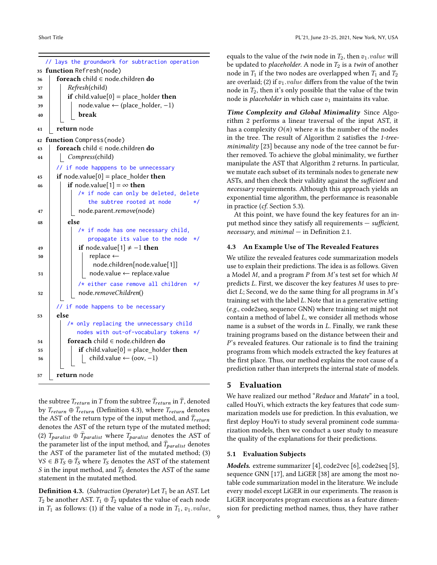<span id="page-8-0"></span>

|    | // lays the groundwork for subtraction operation |
|----|--------------------------------------------------|
| 35 | function Refresh(node)                           |
| 36 | foreach child ∈ node.children do                 |
| 37 | Refresh(child)                                   |
| 38 | if child.value[0] = place_holder then            |
| 39 | $node.value \leftarrow (place\_holder, -1)$      |
| 40 | break                                            |
| 41 | return node                                      |
|    | 42 function Compress(node)                       |
| 43 | foreach child ∈ node.children do                 |
| 44 | Compress(child)                                  |
|    | if node happpens to be unnecessary               |
| 45 | if node.value[0] = place_holder then             |
| 46 | if node.value[1] = $\infty$ then                 |
|    | /* if node can only be deleted, delete           |
|    | the subtree rooted at node<br>*/                 |
| 47 | node.parent.remove(node)                         |
| 48 | else                                             |
|    | $/*$ if node has one necessary child,            |
|    | propagate its value to the node<br>$\star/$      |
| 49 | if node.value[1] $\neq -1$ then                  |
| 50 | replace $\leftarrow$                             |
|    | node.children[node.value[1]]                     |
| 51 | node.value ← replace.value                       |
|    | /* either case remove all children<br>$\star/$   |
| 52 | node.removeChildren()                            |
|    |                                                  |
|    | // if node happens to be necessary<br>else       |
| 53 | /* only replacing the unnecessary child          |
|    | nodes with out-of-vocabulary tokens */           |
|    | foreach child $\in$ node.children do             |
| 54 | if child.value[0] = place holder then            |
| 55 | child.value $\leftarrow$ (oov, -1)               |
| 56 |                                                  |
| 57 | return node                                      |

the subtree  $T_{return}$  in  $\bar{T}$  from the subtree  $\bar{T}_{return}$  in  $\bar{T}$ , denoted by  $T_{return} \oplus \bar{T}_{return}$  (Definition [4.3\)](#page-8-1), where  $T_{return}$  denotes the AST of the return type of the input method, and  $\bar{T}_{return}$ denotes the AST of the return type of the mutated method; (2)  $T_{\text{paralist}} \oplus \overline{T}_{\text{paralist}}$  where  $T_{\text{paralist}}$  denotes the AST of the parameter list of the input method, and  $\bar{T}_{paralist}$  denotes the AST of the parameter list of the mutated method; (3) ∀S ∈  $BT_S \oplus \bar{T}_S$  where  $T_S$  denotes the AST of the statement  $S$  in the input method, and  $\bar{T}_S$  denotes the AST of the same statement in the mutated method.

<span id="page-8-1"></span>**Definition 4.3.** (Subtraction Operator) Let  $T_1$  be an AST. Let  $T_2$  be another AST.  $T_1 \oplus \bar{T}_2$  updates the value of each node in  $T_1$  as follows: (1) if the value of a node in  $T_1$ ,  $v_1.value$ ,

equals to the value of the *twin* node in  $T_2$ , then  $v_1.value$  will be updated to *placeholder*. A node in  $T_2$  is a twin of another node in  $T_1$  if the two nodes are overlapped when  $T_1$  and  $T_2$ are overlaid; (2) if  $v_1.value$  differs from the value of the twin node in  $T_2$ , then it's only possible that the value of the twin node is *placeholder* in which case  $v_1$  maintains its value.

Time Complexity and Global Minimality Since Algorithm [2](#page-7-1) performs a linear traversal of the input AST, it has a complexity  $O(n)$  where *n* is the number of the nodes in the tree. The result of Algorithm [2](#page-7-1) satisfies the 1-tree-minimality [\[23\]](#page-12-17) because any node of the tree cannot be further removed. To achieve the global minimality, we further manipulate the AST that Algorithm [2](#page-7-1) returns. In particular, we mutate each subset of its terminals nodes to generate new ASTs, and then check their validity against the sufficient and necessary requirements. Although this approach yields an exponential time algorithm, the performance is reasonable in practice (cf. Section [5.3\)](#page-9-0).

At this point, we have found the key features for an input method since they satisfy all requirements — sufficient, necessary, and  $minimal - in Definition 2.1$ .

## <span id="page-8-2"></span>4.3 An Example Use of The Revealed Features

We utilize the revealed features code summarization models use to explain their predictions. The idea is as follows. Given a Model  $M$ , and a program  $P$  from  $M$ 's test set for which  $M$ predicts  $L$ . First, we discover the key features  $M$  uses to predict  $L$ ; Second, we do the same thing for all programs in  $M$ 's training set with the label  $L$ . Note that in a generative setting (e.g., code2seq, sequence GNN) where training set might not contain a method of label  $L$ , we consider all methods whose name is a subset of the words in  $L$ . Finally, we rank these training programs based on the distance between their and 's revealed features. Our rationale is to find the training programs from which models extracted the key features at the first place. Thus, our method explains the root cause of a prediction rather than interprets the internal state of models.

## 5 Evaluation

We have realized our method "Reduce and Mutate" in a tool, called HouYi, which extracts the key features that code summarization models use for prediction. In this evaluation, we first deploy HouYi to study several prominent code summarization models, then we conduct a user study to measure the quality of the explanations for their predictions.

#### 5.1 Evaluation Subjects

Models. extreme summarizer [\[4\]](#page-12-9), code2vec [\[6\]](#page-12-10), code2seq [\[5\]](#page-12-5), sequence GNN [\[17\]](#page-12-11), and LiGER [\[38\]](#page-13-3) are among the most notable code summarization model in the literature. We include every model except LiGER in our experiments. The reason is LiGER incorporates program executions as a feature dimension for predicting method names, thus, they have rather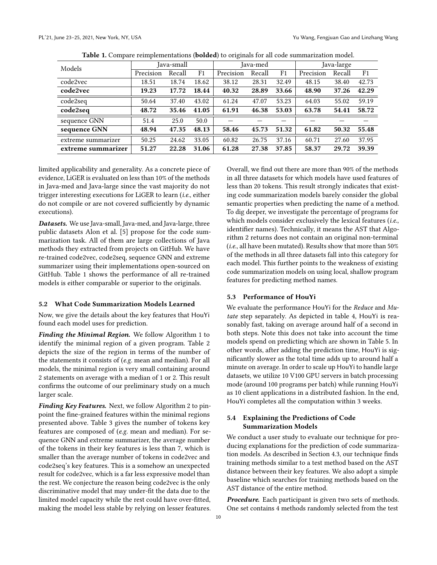<span id="page-9-1"></span>

| Models             | Java-small |        |                | Java-med  |        |                | Java-large |        |                |
|--------------------|------------|--------|----------------|-----------|--------|----------------|------------|--------|----------------|
|                    | Precision  | Recall | F <sub>1</sub> | Precision | Recall | F <sub>1</sub> | Precision  | Recall | F <sub>1</sub> |
| code2vec           | 18.51      | 18.74  | 18.62          | 38.12     | 28.31  | 32.49          | 48.15      | 38.40  | 42.73          |
| code2vec           | 19.23      | 17.72  | 18.44          | 40.32     | 28.89  | 33.66          | 48.90      | 37.26  | 42.29          |
| code2seq           | 50.64      | 37.40  | 43.02          | 61.24     | 47.07  | 53.23          | 64.03      | 55.02  | 59.19          |
| code2seq           | 48.72      | 35.46  | 41.05          | 61.91     | 46.38  | 53.03          | 63.78      | 54.41  | 58.72          |
| sequence GNN       | 51.4       | 25.0   | 50.0           |           |        |                |            |        |                |
| sequence GNN       | 48.94      | 47.35  | 48.13          | 58.46     | 45.73  | 51.32          | 61.82      | 50.32  | 55.48          |
| extreme summarizer | 50.25      | 24.62  | 33.05          | 60.82     | 26.75  | 37.16          | 60.71      | 27.60  | 37.95          |
| extreme summarizer | 51.27      | 22.28  | 31.06          | 61.28     | 27.38  | 37.85          | 58.37      | 29.72  | 39.39          |

| Table 1. Compare reimplementations (bolded) to originals for all code summarization model. |  |  |  |  |  |  |  |
|--------------------------------------------------------------------------------------------|--|--|--|--|--|--|--|
|--------------------------------------------------------------------------------------------|--|--|--|--|--|--|--|

limited applicability and generality. As a concrete piece of evidence, LiGER is evaluated on less than 10% of the methods in Java-med and Java-large since the vast majority do not trigger interesting executions for LiGER to learn (i.e., either do not compile or are not covered sufficiently by dynamic executions).

Datasets. We use Java-small, Java-med, and Java-large, three public datasets Alon et al. [\[5\]](#page-12-5) propose for the code summarization task. All of them are large collections of Java methods they extracted from projects on GitHub. We have re-trained code2vec, code2seq, sequence GNN and extreme summarizer using their implementations open-sourced on GitHub. Table [1](#page-9-1) shows the performance of all re-trained models is either comparable or superior to the originals.

#### 5.2 What Code Summarization Models Learned

Now, we give the details about the key features that HouYi found each model uses for prediction.

Finding the Minimal Region. We follow Algorithm [1](#page-5-0) to identify the minimal region of a given program. Table [2](#page-10-0) depicts the size of the region in terms of the number of the statements it consists of (e.g. mean and median). For all models, the minimal region is very small containing around 2 statements on average with a median of 1 or 2. This result confirms the outcome of our preliminary study on a much larger scale.

Finding Key Features. Next, we follow Algorithm [2](#page-7-1) to pinpoint the fine-grained features within the minimal regions presented above. Table [3](#page-10-0) gives the number of tokens key features are composed of (e.g. mean and median). For sequence GNN and extreme summarizer, the average number of the tokens in their key features is less than 7, which is smaller than the average number of tokens in code2vec and code2seq's key features. This is a somehow an unexpected result for code2vec, which is a far less expressive model than the rest. We conjecture the reason being code2vec is the only discriminative model that may under-fit the data due to the limited model capacity while the rest could have over-fitted, making the model less stable by relying on lesser features. Overall, we find out there are more than 90% of the methods in all three datasets for which models have used features of less than 20 tokens. This result strongly indicates that existing code summarization models barely consider the global semantic properties when predicting the name of a method. To dig deeper, we investigate the percentage of programs for which models consider exclusively the lexical features (i.e., identifier names). Technically, it means the AST that Algorithm [2](#page-7-1) returns does not contain an original non-terminal (i.e., all have been mutated). Results show that more than 50% of the methods in all three datasets fall into this category for each model. This further points to the weakness of existing code summarization models on using local, shallow program features for predicting method names.

#### <span id="page-9-0"></span>5.3 Performance of HouYi

We evaluate the performance HouYi for the Reduce and Mutate step separately. As depicted in table [4,](#page-10-1) HouYi is reasonably fast, taking on average around half of a second in both steps. Note this does not take into account the time models spend on predicting which are shown in Table [5.](#page-10-1) In other words, after adding the prediction time, HouYi is significantly slower as the total time adds up to around half a minute on average. In order to scale up HouYi to handle large datasets, we utilize 10 V100 GPU servers in batch processing mode (around 100 programs per batch) while running HouYi as 10 client applications in a distributed fashion. In the end, HouYi completes all the computation within 3 weeks.

## 5.4 Explaining the Predictions of Code Summarization Models

We conduct a user study to evaluate our technique for producing explanations for the prediction of code summarization models. As described in Section [4.3,](#page-8-2) our technique finds training methods similar to a test method based on the AST distance between their key features. We also adopt a simple baseline which searches for training methods based on the AST distance of the entire method.

Procedure. Each participant is given two sets of methods. One set contains 4 methods randomly selected from the test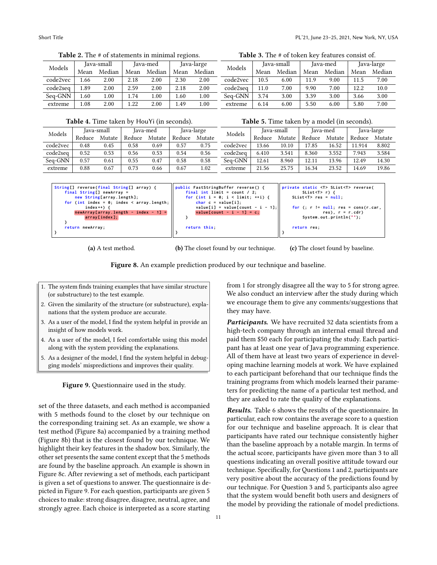<span id="page-10-0"></span>

| Models   |      | Java-small |      | Java-med | Java-large |        |  |
|----------|------|------------|------|----------|------------|--------|--|
|          | Mean | Median     | Mean | Median   | Mean       | Median |  |
| code2vec | 1.66 | 2.00       | 2.18 | 2.00     | 2.30       | 2.00   |  |
| code2seq | 1.89 | 2.00       | 2.59 | 2.00     | 2.18       | 2.00   |  |
| Seq-GNN  | 1.60 | 1.00       | 1.74 | 1.00     | 1.60       | 1.00   |  |
| extreme  | 1.08 | 2.00       | 1.22 | 2.00     | 1.49       | 1.00   |  |

Table 2. The # of statements in minimal regions.

Table 3. The # of token key features consist of.

| Models   |      | Java-small |      | Java-med |      | Java-large |
|----------|------|------------|------|----------|------|------------|
|          | Mean | Median     | Mean | Median   | Mean | Median     |
| code2vec | 10.5 | 6.00       | 11.9 | 9.00     | 11.5 | 7.00       |
| code2seq | 11.0 | 7.00       | 9.90 | 7.00     | 12.2 | 10.0       |
| Seq-GNN  | 3.74 | 3.00       | 3.39 | 3.00     | 3.66 | 3.00       |
| extreme  | 6.14 | 6.00       | 5.50 | 6.00     | 5.80 | 7.00       |

Table 5. Time taken by a model (in seconds).

Table 4. Time taken by HouYi (in seconds).

<span id="page-10-1"></span>

| Models   | Java-small |        |           | lava-med<br>Java-large |        | Models | Java-small |        | lava-med |        | Java-large |        |        |
|----------|------------|--------|-----------|------------------------|--------|--------|------------|--------|----------|--------|------------|--------|--------|
|          | Reduce     | Mutate | Reduce    | Mutate                 | Reduce | Mutate |            | Reduce | Mutate   | Reduce | Mutate     | Reduce | Mutate |
| code2vec | 0.48       | 0.45   | $_{0.58}$ | 0.69                   | 0.57   | 0.75   | code2vec   | 3.66   | 10.10    | 17.85  | 16.52      | 11.914 | 8.802  |
| code2seq | 0.52       | 0.53   | 0.56      | 0.53                   | 0.54   | 0.56   | code2seq   | 6.410  | 3.541    | 8.360  | 3.552      | 7.943  | 3.584  |
| Seq-GNN  | 0.57       | 0.61   | 0.55      | 0.47                   | 0.58   | 0.58   | Seq-GNN    | 12.61  | 8.960    | 12.11  | 13.96      | 12.49  | 14.30  |
| extreme  | 0.88       | 0.67   | 0.73      | 0.66                   | 0.67   | 1.02   | extreme    | 21.56  | 25.75    | 16.34  | 23.52      | 14.69  | 19.86  |

<span id="page-10-2"></span>

| String[] reverse(final String[] array) {<br>final String[] newArray =<br>new String[array.length];<br>for (int index = $0$ ; index < array.length;<br>index $++$ ) {<br>$newArray[array.length - index - 1] =$<br>array[index]; | public FastStringBuffer reverse() {<br>final int limit = count $/2$ :<br>for (int $i = 0$ ; $i < 1$ imit; $++i$ ) {<br>$char c = value[i].$<br>value[i] = value[count - i - 1];<br>value[count - $i - 1$ ] = c; | private static <t> SList<t> reverse(<br/>SList <t><math>r</math>) {<br/><math>Stist &lt; T</math>&gt; res = <math>null:</math><br/>for <math>(</math>; <math>r</math> != <math>null</math>; <math>res</math> = <math>cons(r, car, c)</math><br/><math>res)</math>, <math>r = r.cdr</math>)<br/><math>System.out.println("")</math>;</t></t></t> |
|---------------------------------------------------------------------------------------------------------------------------------------------------------------------------------------------------------------------------------|-----------------------------------------------------------------------------------------------------------------------------------------------------------------------------------------------------------------|-------------------------------------------------------------------------------------------------------------------------------------------------------------------------------------------------------------------------------------------------------------------------------------------------------------------------------------------------|
| return newArray;                                                                                                                                                                                                                | return this:                                                                                                                                                                                                    | return res:                                                                                                                                                                                                                                                                                                                                     |

(a) A test method.

(b) The closet found by our technique.

(c) The closet found by baseline.

Figure 8. An example prediction produced by our technique and baseline.

- <span id="page-10-3"></span>1. The system finds training examples that have similar structure (or substructure) to the test example.
- 2. Given the similarity of the structure (or substructure), explanations that the system produce are accurate.
- 3. As a user of the model, I find the system helpful in provide an insight of how models work.
- 4. As a user of the model, I feel comfortable using this model along with the system providing the explanations.
- 5. As a designer of the model, I find the system helpful in debugging models' mispredictions and improves their quality.

Figure 9. Questionnaire used in the study.

set of the three datasets, and each method is accompanied with 5 methods found to the closet by our technique on the corresponding training set. As an example, we show a test method (Figure [8a\)](#page-10-2) accompanied by a training method (Figure [8b\)](#page-10-2) that is the closest found by our technique. We highlight their key features in the shadow box. Similarly, the other set presents the same content except that the 5 methods are found by the baseline approach. An example is shown in Figure [8c.](#page-10-2) After reviewing a set of methods, each participant is given a set of questions to answer. The questionnaire is depicted in Figure [9.](#page-10-3) For each question, participants are given 5 choices to make: strong disagree, disagree, neutral, agree, and strongly agree. Each choice is interpreted as a score starting

from 1 for strongly disagree all the way to 5 for strong agree. We also conduct an interview after the study during which we encourage them to give any comments/suggestions that they may have.

Participants. We have recruited 32 data scientists from a high-tech company through an internal email thread and paid them \$50 each for participating the study. Each participant has at least one year of Java programming experience. All of them have at least two years of experience in developing machine learning models at work. We have explained to each participant beforehand that our technique finds the training programs from which models learned their parameters for predicting the name of a particular test method, and they are asked to rate the quality of the explanations.

Results. Table [6](#page-11-2) shows the results of the questionnaire. In particular, each row contains the average score to a question for our technique and baseline approach. It is clear that participants have rated our technique consistently higher than the baseline approach by a notable margin. In terms of the actual score, participants have given more than 3 to all questions indicating an overall positive attitude toward our technique. Specifically, for Questions 1 and 2, participants are very positive about the accuracy of the predictions found by our technique. For Question 3 and 5, participants also agree that the system would benefit both users and designers of the model by providing the rationale of model predictions.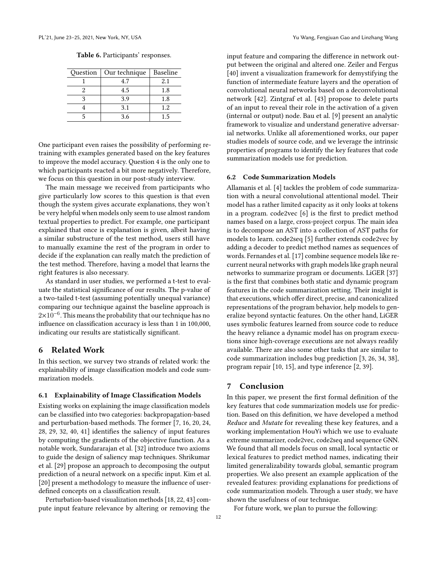| Table 6. Participants' responses. |  |
|-----------------------------------|--|
|-----------------------------------|--|

<span id="page-11-2"></span>

| Question | Our technique | Baseline |
|----------|---------------|----------|
|          | 4.7           | 2.1      |
|          | 4.5           | 1.8      |
|          | 3.9           | 1.8      |
|          | 3.1           | 1.2.     |
|          | 3.6           | 1.5      |

One participant even raises the possibility of performing retraining with examples generated based on the key features to improve the model accuracy. Question 4 is the only one to which participants reacted a bit more negatively. Therefore, we focus on this question in our post-study interview.

The main message we received from participants who give particularly low scores to this question is that even though the system gives accurate explanations, they won't be very helpful when models only seem to use almost random textual properties to predict. For example, one participant explained that once is explanation is given, albeit having a similar substructure of the test method, users still have to manually examine the rest of the program in order to decide if the explanation can really match the prediction of the test method. Therefore, having a model that learns the right features is also necessary.

As standard in user studies, we performed a t-test to evaluate the statistical significance of our results. The p-value of a two-tailed t-test (assuming potentially unequal variance) comparing our technique against the baseline approach is 2×10<sup>-6</sup>. This means the probability that our technique has no influence on classification accuracy is less than 1 in 100,000, indicating our results are statistically significant.

## <span id="page-11-0"></span>6 Related Work

In this section, we survey two strands of related work: the explainability of image classification models and code summarization models.

#### 6.1 Explainability of Image Classification Models

Existing works on explaining the image classification models can be classified into two categories: backpropagation-based and perturbation-based methods. The former [\[7,](#page-12-18) [16,](#page-12-19) [20,](#page-12-7) [24,](#page-12-20) [28,](#page-12-21) [29,](#page-12-22) [32,](#page-12-23) [40,](#page-13-4) [41\]](#page-13-5) identifies the saliency of input features by computing the gradients of the objective function. As a notable work, Sundararajan et al. [\[32\]](#page-12-23) introduce two axioms to guide the design of saliency map techniques. Shrikumar et al. [\[29\]](#page-12-22) propose an approach to decomposing the output prediction of a neural network on a specific input. Kim et al. [\[20\]](#page-12-7) present a methodology to measure the influence of userdefined concepts on a classification result.

Perturbation-based visualization methods [\[18,](#page-12-24) [22,](#page-12-25) [43\]](#page-13-6) compute input feature relevance by altering or removing the

input feature and comparing the difference in network output between the original and altered one. Zeiler and Fergus [\[40\]](#page-13-4) invent a visualization framework for demystifying the function of intermediate feature layers and the operation of convolutional neural networks based on a deconvolutional network [\[42\]](#page-13-7). Zintgraf et al. [\[43\]](#page-13-6) propose to delete parts of an input to reveal their role in the activation of a given (internal or output) node. Bau et al. [\[9\]](#page-12-26) present an analytic framework to visualize and understand generative adversarial networks. Unlike all aforementioned works, our paper studies models of source code, and we leverage the intrinsic properties of programs to identify the key features that code summarization models use for prediction.

#### 6.2 Code Summarization Models

Allamanis et al. [\[4\]](#page-12-9) tackles the problem of code summarization with a neural convolutional attentional model. Their model has a rather limited capacity as it only looks at tokens in a program. code2vec [\[6\]](#page-12-10) is the first to predict method names based on a large, cross-project corpus. The main idea is to decompose an AST into a collection of AST paths for models to learn. code2seq [\[5\]](#page-12-5) further extends code2vec by adding a decoder to predict method names as sequences of words. Fernandes et al. [\[17\]](#page-12-11) combine sequence models like recurrent neural networks with graph models like graph neural networks to summarize program or documents. LiGER [\[37\]](#page-13-8) is the first that combines both static and dynamic program features in the code summarization setting. Their insight is that executions, which offer direct, precise, and canonicalized representations of the program behavior, help models to generalize beyond syntactic features. On the other hand, LiGER uses symbolic features learned from source code to reduce the heavy reliance a dynamic model has on program executions since high-coverage executions are not always readily available. There are also some other tasks that are similar to code summarization includes bug prediction [\[3,](#page-12-27) [26,](#page-12-28) [34,](#page-13-9) [38\]](#page-13-3), program repair [\[10,](#page-12-29) [15\]](#page-12-30), and type inference [\[2,](#page-12-31) [39\]](#page-13-10).

## <span id="page-11-1"></span>7 Conclusion

In this paper, we present the first formal definition of the key features that code summarization models use for prediction. Based on this definition, we have developed a method Reduce and Mutate for revealing these key features, and a working implementation HouYi which we use to evaluate extreme summarizer, code2vec, code2seq and sequence GNN. We found that all models focus on small, local syntactic or lexical features to predict method names, indicating their limited generalizability towards global, semantic program properties. We also present an example application of the revealed features: providing explanations for predictions of code summarization models. Through a user study, we have shown the usefulness of our technique.

For future work, we plan to pursue the following: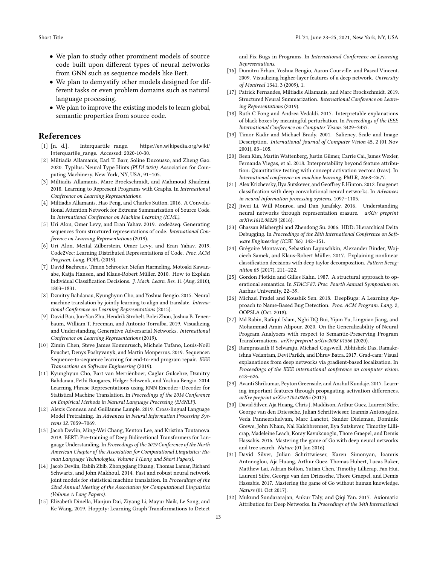- We plan to study other prominent models of source code built upon different types of neural networks from GNN such as sequence models like Bert.
- We plan to demystify other models designed for different tasks or even problem domains such as natural language processing.
- We plan to improve the existing models to learn global, semantic properties from source code.

## References

- <span id="page-12-16"></span>[1] [n. d.]. Interquartile range. [https://en.wikipedia.org/wiki/](https://en.wikipedia.org/wiki/Interquartile_range) [Interquartile\\_range](https://en.wikipedia.org/wiki/Interquartile_range). Accessed: 2020-10-30.
- <span id="page-12-31"></span>[2] Miltiadis Allamanis, Earl T. Barr, Soline Ducousso, and Zheng Gao. 2020. Typilus: Neural Type Hints (PLDI 2020). Association for Computing Machinery, New York, NY, USA, 91–105.
- <span id="page-12-27"></span>[3] Miltiadis Allamanis, Marc Brockschmidt, and Mahmoud Khademi. 2018. Learning to Represent Programs with Graphs. In International Conference on Learning Representations.
- <span id="page-12-9"></span>[4] Miltiadis Allamanis, Hao Peng, and Charles Sutton. 2016. A Convolutional Attention Network for Extreme Summarization of Source Code. In International Conference on Machine Learning (ICML).
- <span id="page-12-5"></span>[5] Uri Alon, Omer Levy, and Eran Yahav. 2019. code2seq: Generating sequences from structured representations of code. International Conference on Learning Representations (2019).
- <span id="page-12-10"></span>[6] Uri Alon, Meital Zilberstein, Omer Levy, and Eran Yahav. 2019. Code2Vec: Learning Distributed Representations of Code. Proc. ACM Program. Lang. POPL (2019).
- <span id="page-12-18"></span>David Baehrens, Timon Schroeter, Stefan Harmeling, Motoaki Kawanabe, Katja Hansen, and Klaus-Robert Müller. 2010. How to Explain Individual Classification Decisions. J. Mach. Learn. Res. 11 (Aug. 2010), 1803–1831.
- <span id="page-12-15"></span>[8] Dzmitry Bahdanau, Kyunghyun Cho, and Yoshua Bengio. 2015. Neural machine translation by jointly learning to align and translate. International Conference on Learning Representations (2015).
- <span id="page-12-26"></span>[9] David Bau, Jun-Yan Zhu, Hendrik Strobelt, Bolei Zhou, Joshua B. Tenenbaum, William T. Freeman, and Antonio Torralba. 2019. Visualizing and Understanding Generative Adversarial Networks. International Conference on Learning Representations (2019).
- <span id="page-12-29"></span>[10] Zimin Chen, Steve James Kommrusch, Michele Tufano, Louis-Noël Pouchet, Denys Poshyvanyk, and Martin Monperrus. 2019. Sequencer: Sequence-to-sequence learning for end-to-end program repair. IEEE Transactions on Software Engineering (2019).
- <span id="page-12-13"></span>[11] Kyunghyun Cho, Bart van Merriënboer, Caglar Gulcehre, Dzmitry Bahdanau, Fethi Bougares, Holger Schwenk, and Yoshua Bengio. 2014. Learning Phrase Representations using RNN Encoder–Decoder for Statistical Machine Translation. In Proceedings of the 2014 Conference on Empirical Methods in Natural Language Processing (EMNLP).
- <span id="page-12-1"></span>[12] Alexis Conneau and Guillaume Lample. 2019. Cross-lingual Language Model Pretraining. In Advances in Neural Information Processing Systems 32. 7059–7069.
- <span id="page-12-2"></span>[13] Jacob Devlin, Ming-Wei Chang, Kenton Lee, and Kristina Toutanova. 2019. BERT: Pre-training of Deep Bidirectional Transformers for Language Understanding. In Proceedings of the 2019 Conference of the North American Chapter of the Association for Computational Linguistics: Human Language Technologies, Volume 1 (Long and Short Papers).
- <span id="page-12-14"></span>[14] Jacob Devlin, Rabih Zbib, Zhongqiang Huang, Thomas Lamar, Richard Schwartz, and John Makhoul. 2014. Fast and robust neural network joint models for statistical machine translation. In Proceedings of the 52nd Annual Meeting of the Association for Computational Linguistics (Volume 1: Long Papers).
- <span id="page-12-30"></span>[15] Elizabeth Dinella, Hanjun Dai, Ziyang Li, Mayur Naik, Le Song, and Ke Wang. 2019. Hoppity: Learning Graph Transformations to Detect

and Fix Bugs in Programs. In International Conference on Learning Representations.

- <span id="page-12-19"></span>[16] Dumitru Erhan, Yoshua Bengio, Aaron Courville, and Pascal Vincent. 2009. Visualizing higher-layer features of a deep network. University of Montreal 1341, 3 (2009), 1.
- <span id="page-12-11"></span>[17] Patrick Fernandes, Miltiadis Allamanis, and Marc Brockschmidt. 2019. Structured Neural Summarization. International Conference on Learning Representations (2019).
- <span id="page-12-24"></span>[18] Ruth C Fong and Andrea Vedaldi. 2017. Interpretable explanations of black boxes by meaningful perturbation. In Proceedings of the IEEE International Conference on Computer Vision. 3429–3437.
- <span id="page-12-6"></span>[19] Timor Kadir and Michael Brady. 2001. Saliency, Scale and Image Description. International Journal of Computer Vision 45, 2 (01 Nov 2001), 83–105.
- <span id="page-12-7"></span>[20] Been Kim, Martin Wattenberg, Justin Gilmer, Carrie Cai, James Wexler, Fernanda Viegas, et al. 2018. Interpretability beyond feature attribution: Quantitative testing with concept activation vectors (tcav). In International conference on machine learning. PMLR, 2668–2677.
- <span id="page-12-0"></span>[21] Alex Krizhevsky, Ilya Sutskever, and Geoffrey E Hinton. 2012. Imagenet classification with deep convolutional neural networks. In Advances in neural information processing systems. 1097–1105.
- <span id="page-12-25"></span>[22] Jiwei Li, Will Monroe, and Dan Jurafsky. 2016. Understanding neural networks through representation erasure. arXiv preprint arXiv:1612.08220 (2016).
- <span id="page-12-17"></span>[23] Ghassan Misherghi and Zhendong Su. 2006. HDD: Hierarchical Delta Debugging. In Proceedings of the 28th International Conference on Software Engineering (ICSE '06). 142–151.
- <span id="page-12-20"></span>[24] Grégoire Montavon, Sebastian Lapuschkin, Alexander Binder, Wojciech Samek, and Klaus-Robert Müller. 2017. Explaining nonlinear classification decisions with deep taylor decomposition. Pattern Recognition 65 (2017), 211–222.
- <span id="page-12-8"></span>[25] Gordon Plotkin and Gilles Kahn. 1987. A structural approach to operational semantics. In STACS'87: Proc. Fourth Annual Symposium on. Aarhus University, 22–39.
- <span id="page-12-28"></span>[26] Michael Pradel and Koushik Sen. 2018. DeepBugs: A Learning Approach to Name-Based Bug Detection. Proc. ACM Program. Lang. 2, OOPSLA (Oct. 2018).
- <span id="page-12-12"></span>[27] Md Rabin, Rafiqul Islam, Nghi DQ Bui, Yijun Yu, Lingxiao Jiang, and Mohammad Amin Alipour. 2020. On the Generalizability of Neural Program Analyzers with respect to Semantic-Preserving Program Transformations. arXiv preprint arXiv:2008.01566 (2020).
- <span id="page-12-21"></span>[28] Ramprasaath R Selvaraju, Michael Cogswell, Abhishek Das, Ramakrishna Vedantam, Devi Parikh, and Dhruv Batra. 2017. Grad-cam: Visual explanations from deep networks via gradient-based localization. In Proceedings of the IEEE international conference on computer vision. 618–626.
- <span id="page-12-22"></span>[29] Avanti Shrikumar, Peyton Greenside, and Anshul Kundaje. 2017. Learning important features through propagating activation differences. arXiv preprint arXiv:1704.02685 (2017).
- <span id="page-12-3"></span>[30] David Silver, Aja Huang, Chris J. Maddison, Arthur Guez, Laurent Sifre, George van den Driessche, Julian Schrittwieser, Ioannis Antonoglou, Veda Panneershelvam, Marc Lanctot, Sander Dieleman, Dominik Grewe, John Nham, Nal Kalchbrenner, Ilya Sutskever, Timothy Lillicrap, Madeleine Leach, Koray Kavukcuoglu, Thore Graepel, and Demis Hassabis. 2016. Mastering the game of Go with deep neural networks and tree search. Nature (01 Jan 2016).
- <span id="page-12-4"></span>[31] David Silver, Julian Schrittwieser, Karen Simonyan, Ioannis Antonoglou, Aja Huang, Arthur Guez, Thomas Hubert, Lucas Baker, Matthew Lai, Adrian Bolton, Yutian Chen, Timothy Lillicrap, Fan Hui, Laurent Sifre, George van den Driessche, Thore Graepel, and Demis Hassabis. 2017. Mastering the game of Go without human knowledge. Nature (01 Oct 2017).
- <span id="page-12-23"></span>[32] Mukund Sundararajan, Ankur Taly, and Qiqi Yan. 2017. Axiomatic Attribution for Deep Networks. In Proceedings of the 34th International